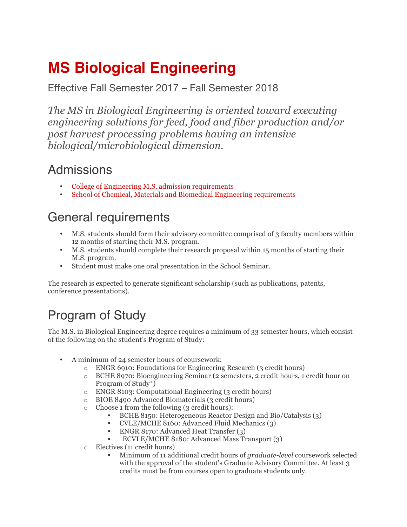## **MS Biological Engineering**

Effective Fall Semester 2017 – Fall Semester 2018

*The MS in Biological Engineering is oriented toward executing engineering solutions for feed, food and fiber production and/or post harvest processing problems having an intensive biological/microbiological dimension.*

## Admissions

- College of Engineering M.S. admission requirements
- School of Chemical, Materials and Biomedical Engineering requirements

## General requirements

- M.S. students should form their advisory committee comprised of 3 faculty members within 12 months of starting their M.S. program.
- M.S. students should complete their research proposal within 15 months of starting their M.S. program.
- Student must make one oral presentation in the School Seminar.

The research is expected to generate significant scholarship (such as publications, patents, conference presentations).

## Program of Study

The M.S. in Biological Engineering degree requires a minimum of 33 semester hours, which consist of the following on the student's Program of Study:

- A minimum of 24 semester hours of coursework:
	- o ENGR 6910: Foundations for Engineering Research (3 credit hours)
	- o BCHE 8970: Bioengineering Seminar (2 semesters, 2 credit hours, 1 credit hour on Program of Study\*)
	- o ENGR 8103: Computational Engineering (3 credit hours)
	- o BIOE 8490 Advanced Biomaterials (3 credit hours)
	- $\circ$  Choose 1 from the following (3 credit hours):
		- § BCHE 8150: Heterogeneous Reactor Design and Bio/Catalysis (3)
		- § CVLE/MCHE 8160: Advanced Fluid Mechanics (3)
		- § ENGR 8170: Advanced Heat Transfer (3)
		- § ECVLE/MCHE 8180: Advanced Mass Transport (3)
	- o Electives (11 credit hours)
		- § Minimum of 11 additional credit hours of *graduate-level* coursework selected with the approval of the student's Graduate Advisory Committee. At least 3 credits must be from courses open to graduate students only.